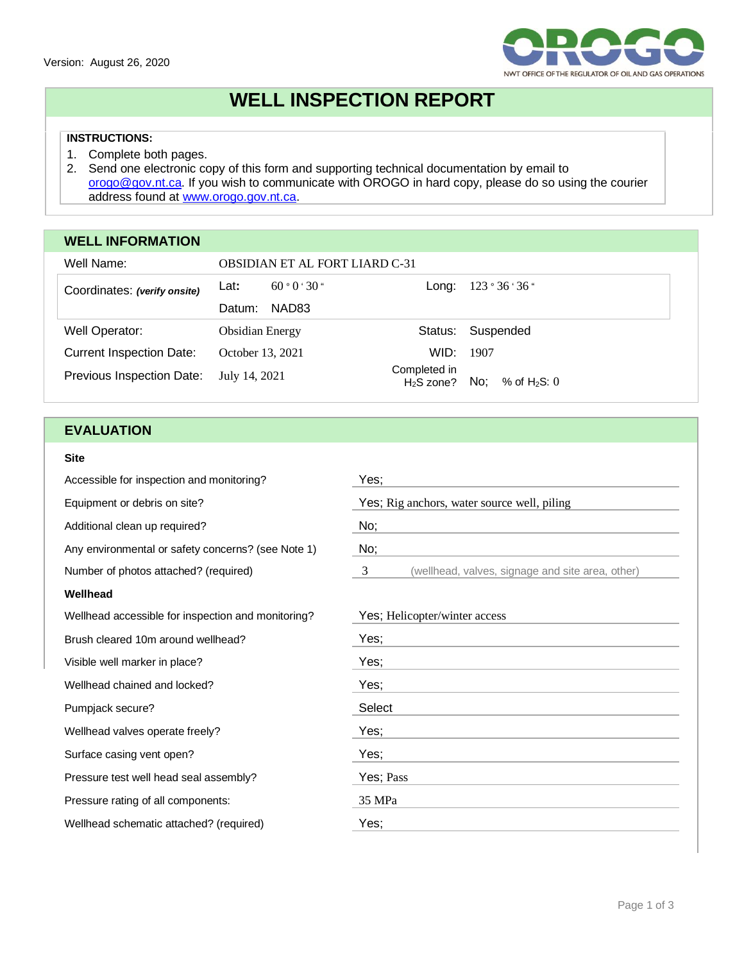

# **WELL INSPECTION REPORT**

## **INSTRUCTIONS:**

- 1. Complete both pages.
- 2. Send one electronic copy of this form and supporting technical documentation by email to [orogo@gov.nt.ca.](mailto:orogo@gov.nt.ca) If you wish to communicate with OROGO in hard copy, please do so using the courier address found at [www.orogo.gov.nt.ca.](http://www.orogo.gov.nt.ca/)

## **WELL INFORMATION**

| Well Name:                      | <b>OBSIDIAN ET AL FORT LIARD C-31</b>        |                       |  |
|---------------------------------|----------------------------------------------|-----------------------|--|
| Coordinates: (verify onsite)    | 60°0°30"<br>Lat:<br>Long:                    | 123°36'36"            |  |
|                                 | NAD83<br>Datum:                              |                       |  |
| Well Operator:                  | Status:<br><b>Obsidian Energy</b>            | Suspended             |  |
| <b>Current Inspection Date:</b> | WID:<br>October 13, 2021                     | 1907                  |  |
| Previous Inspection Date:       | Completed in<br>July 14, 2021<br>$H2S$ zone? | No:<br>% of $H_2S: 0$ |  |

## **EVALUATION**

#### **Site**

| Accessible for inspection and monitoring?          | Yes;                                                  |  |  |
|----------------------------------------------------|-------------------------------------------------------|--|--|
| Equipment or debris on site?                       | Yes; Rig anchors, water source well, piling           |  |  |
| Additional clean up required?                      | No;                                                   |  |  |
| Any environmental or safety concerns? (see Note 1) | No;                                                   |  |  |
| Number of photos attached? (required)              | 3<br>(wellhead, valves, signage and site area, other) |  |  |
| Wellhead                                           |                                                       |  |  |
| Wellhead accessible for inspection and monitoring? | Yes; Helicopter/winter access                         |  |  |
| Brush cleared 10m around wellhead?                 | Yes;                                                  |  |  |
| Visible well marker in place?                      | Yes;                                                  |  |  |
| Wellhead chained and locked?                       | Yes;                                                  |  |  |
| Pumpjack secure?                                   | Select                                                |  |  |
| Wellhead valves operate freely?                    | Yes;                                                  |  |  |
| Surface casing vent open?                          | Yes;                                                  |  |  |
| Pressure test well head seal assembly?             | Yes; Pass                                             |  |  |
| Pressure rating of all components:                 | 35 MPa                                                |  |  |
| Wellhead schematic attached? (required)            | Yes;                                                  |  |  |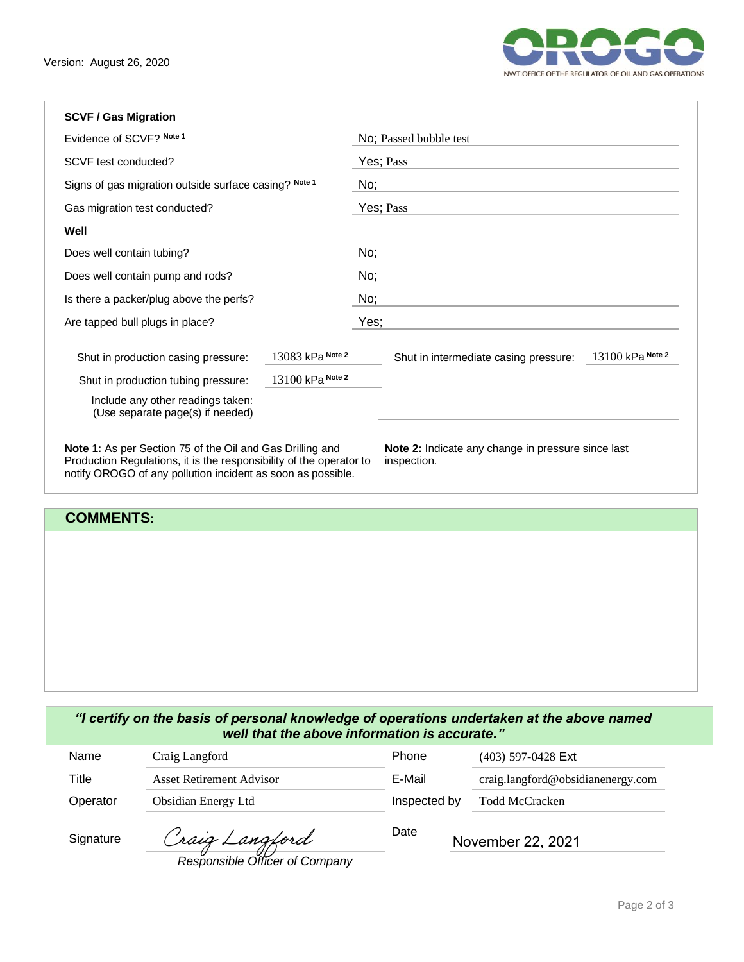

## **SCVF / Gas Migration**

|                  | No; Passed bubble test                                                    |  |  |  |
|------------------|---------------------------------------------------------------------------|--|--|--|
|                  | Yes; Pass                                                                 |  |  |  |
|                  | No;                                                                       |  |  |  |
|                  | Yes; Pass                                                                 |  |  |  |
|                  |                                                                           |  |  |  |
|                  | No;                                                                       |  |  |  |
|                  | No;                                                                       |  |  |  |
|                  | No;                                                                       |  |  |  |
|                  | Yes;                                                                      |  |  |  |
| 13083 kPa Note 2 | 13100 kPa Note 2<br>Shut in intermediate casing pressure:                 |  |  |  |
|                  |                                                                           |  |  |  |
|                  |                                                                           |  |  |  |
|                  | Signs of gas migration outside surface casing? Note 1<br>13100 kPa Note 2 |  |  |  |

## **COMMENTS:**

notify OROGO of any pollution incident as soon as possible.

### *"I certify on the basis of personal knowledge of operations undertaken at the above named well that the above information is accurate."*

| Name      | Craig Langford                                   | Phone                     | $(403)$ 597-0428 Ext              |
|-----------|--------------------------------------------------|---------------------------|-----------------------------------|
| Title     | Asset Retirement Advisor                         | E-Mail                    | craig.langford@obsidianenergy.com |
| Operator  | Obsidian Energy Ltd                              | Inspected by              | <b>Todd McCracken</b>             |
| Signature | Craig Langford<br>Responsible Officer of Company | Date<br>November 22, 2021 |                                   |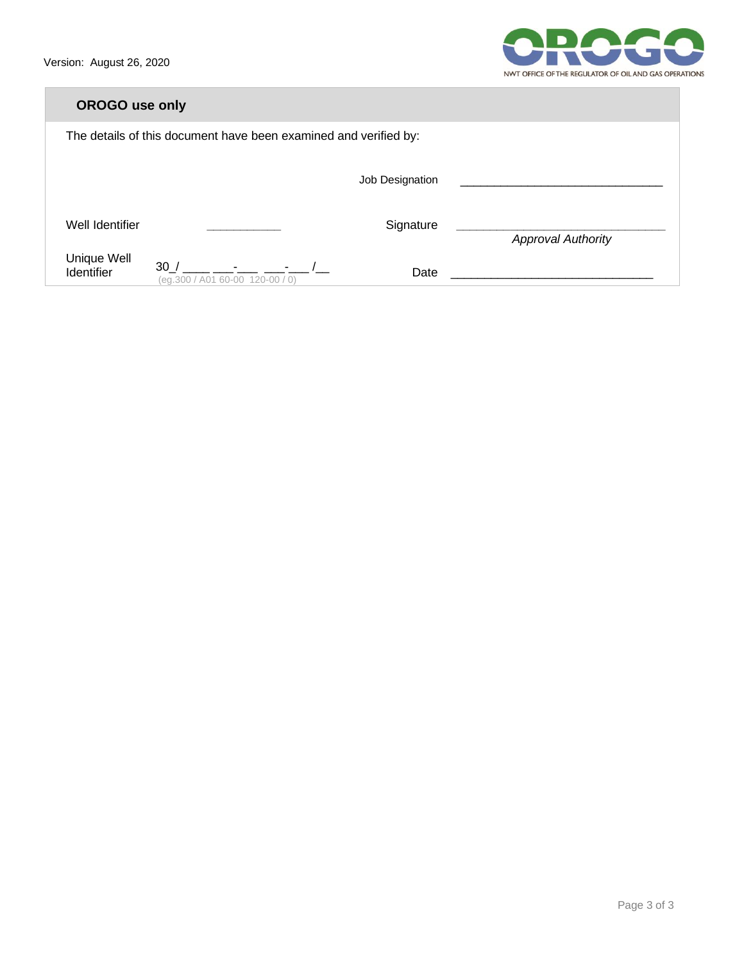

| <b>OROGO</b> use only                                            |                                                 |                 |                           |  |  |
|------------------------------------------------------------------|-------------------------------------------------|-----------------|---------------------------|--|--|
| The details of this document have been examined and verified by: |                                                 |                 |                           |  |  |
|                                                                  |                                                 | Job Designation |                           |  |  |
| Well Identifier                                                  |                                                 | Signature       | <b>Approval Authority</b> |  |  |
| Unique Well<br>Identifier                                        | 30/<br>$  /$<br>(eq.300 / A01 60-00 120-00 / 0) | Date            |                           |  |  |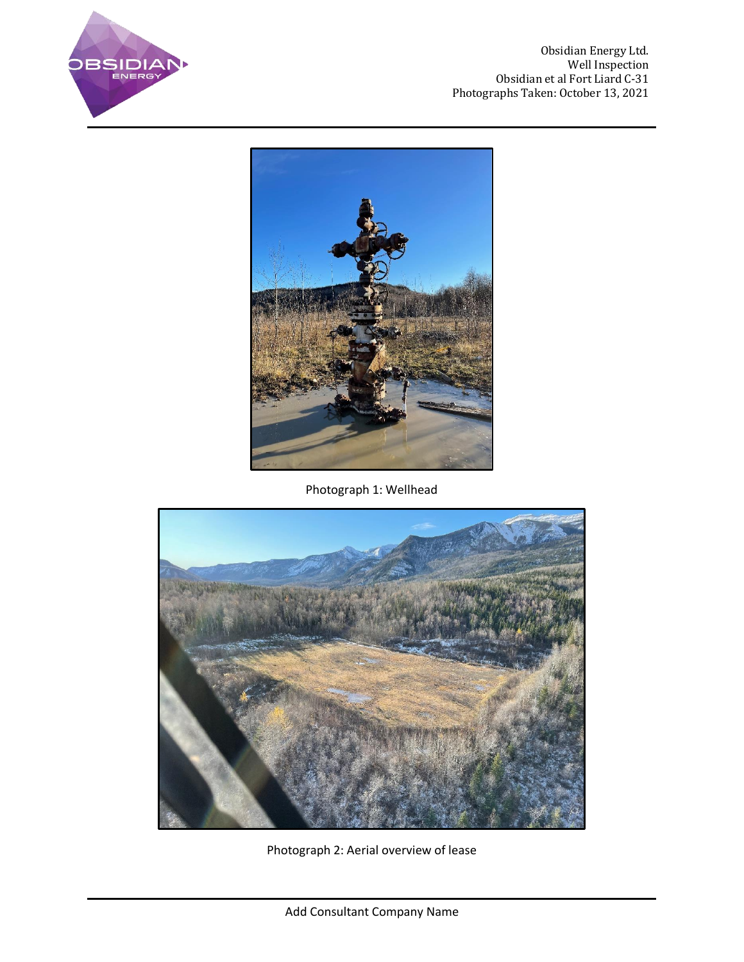

Obsidian Energy Ltd. Well Inspection Obsidian et al Fort Liard C-31 Photographs Taken: October 13, 2021



Photograph 1: Wellhead



Photograph 2: Aerial overview of lease